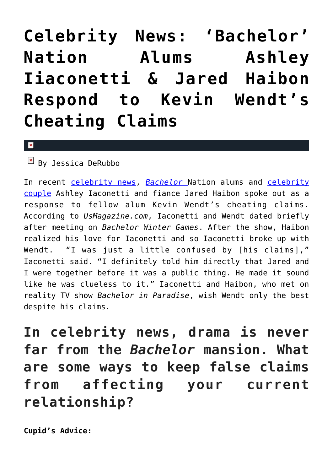## **[Celebrity News: 'Bachelor'](https://cupidspulse.com/126137/celebrity-news-bachelor-nation-alums-ashley-iiaconetti-jared-haibon-respond-kevin-wendt-cheating-claims/) [Nation Alums Ashley](https://cupidspulse.com/126137/celebrity-news-bachelor-nation-alums-ashley-iiaconetti-jared-haibon-respond-kevin-wendt-cheating-claims/) [Iiaconetti & Jared Haibon](https://cupidspulse.com/126137/celebrity-news-bachelor-nation-alums-ashley-iiaconetti-jared-haibon-respond-kevin-wendt-cheating-claims/) [Respond to Kevin Wendt's](https://cupidspulse.com/126137/celebrity-news-bachelor-nation-alums-ashley-iiaconetti-jared-haibon-respond-kevin-wendt-cheating-claims/) [Cheating Claims](https://cupidspulse.com/126137/celebrity-news-bachelor-nation-alums-ashley-iiaconetti-jared-haibon-respond-kevin-wendt-cheating-claims/)**

 $\mathbf{x}$ 

 $By$  Jessica DeRubbo

In recent [celebrity news](http://cupidspulse.com/celebrity-news/), *[Bachelor](http://cupidspulse.com/celebrity-news/reality-tv/)* Nation alums and [celebrity](http://cupidspulse.com/celebrity-news/celebrity-dating/) [couple](http://cupidspulse.com/celebrity-news/celebrity-dating/) Ashley Iaconetti and fiance Jared Haibon spoke out as a response to fellow alum Kevin Wendt's cheating claims. According to *UsMagazine.com*, Iaconetti and Wendt dated briefly after meeting on *Bachelor Winter Games*. After the show, Haibon realized his love for Iaconetti and so Iaconetti broke up with Wendt. "I was just a little confused by [his claims]," Iaconetti said. "I definitely told him directly that Jared and I were together before it was a public thing. He made it sound like he was clueless to it." Iaconetti and Haibon, who met on reality TV show *Bachelor in Paradise*, wish Wendt only the best despite his claims.

**In celebrity news, drama is never far from the** *Bachelor* **mansion. What are some ways to keep false claims from affecting your current relationship?**

**Cupid's Advice:**